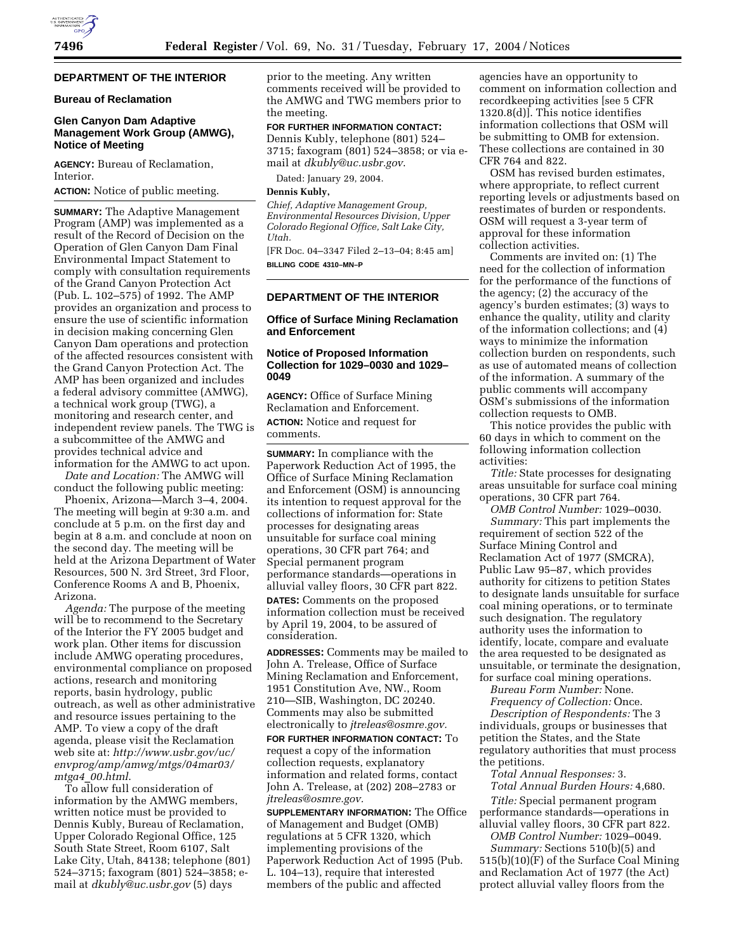# **DEPARTMENT OF THE INTERIOR**

## **Bureau of Reclamation**

## **Glen Canyon Dam Adaptive Management Work Group (AMWG), Notice of Meeting**

**AGENCY:** Bureau of Reclamation, Interior.

**ACTION:** Notice of public meeting.

**SUMMARY:** The Adaptive Management Program (AMP) was implemented as a result of the Record of Decision on the Operation of Glen Canyon Dam Final Environmental Impact Statement to comply with consultation requirements of the Grand Canyon Protection Act (Pub. L. 102–575) of 1992. The AMP provides an organization and process to ensure the use of scientific information in decision making concerning Glen Canyon Dam operations and protection of the affected resources consistent with the Grand Canyon Protection Act. The AMP has been organized and includes a federal advisory committee (AMWG), a technical work group (TWG), a monitoring and research center, and independent review panels. The TWG is a subcommittee of the AMWG and provides technical advice and information for the AMWG to act upon.

*Date and Location:* The AMWG will conduct the following public meeting:

Phoenix, Arizona—March 3–4, 2004. The meeting will begin at 9:30 a.m. and conclude at 5 p.m. on the first day and begin at 8 a.m. and conclude at noon on the second day. The meeting will be held at the Arizona Department of Water Resources, 500 N. 3rd Street, 3rd Floor, Conference Rooms A and B, Phoenix, Arizona.

*Agenda:* The purpose of the meeting will be to recommend to the Secretary of the Interior the FY 2005 budget and work plan. Other items for discussion include AMWG operating procedures, environmental compliance on proposed actions, research and monitoring reports, basin hydrology, public outreach, as well as other administrative and resource issues pertaining to the AMP. To view a copy of the draft agenda, please visit the Reclamation web site at: *http://www.usbr.gov/uc/ envprog/amp/amwg/mtgs/04mar03/ mtga4*\_*00.html*.

To allow full consideration of information by the AMWG members, written notice must be provided to Dennis Kubly, Bureau of Reclamation, Upper Colorado Regional Office, 125 South State Street, Room 6107, Salt Lake City, Utah, 84138; telephone (801) 524–3715; faxogram (801) 524–3858; email at *dkubly@uc.usbr.gov* (5) days

prior to the meeting. Any written comments received will be provided to the AMWG and TWG members prior to the meeting.

**FOR FURTHER INFORMATION CONTACT:** Dennis Kubly, telephone (801) 524– 3715; faxogram (801) 524–3858; or via email at *dkubly@uc.usbr.gov*.

Dated: January 29, 2004.

**Dennis Kubly,** 

*Chief, Adaptive Management Group, Environmental Resources Division, Upper Colorado Regional Office, Salt Lake City, Utah.*

[FR Doc. 04–3347 Filed 2–13–04; 8:45 am] **BILLING CODE 4310–MN–P**

#### **DEPARTMENT OF THE INTERIOR**

## **Office of Surface Mining Reclamation and Enforcement**

#### **Notice of Proposed Information Collection for 1029–0030 and 1029– 0049**

**AGENCY:** Office of Surface Mining Reclamation and Enforcement. **ACTION:** Notice and request for comments.

**SUMMARY:** In compliance with the Paperwork Reduction Act of 1995, the Office of Surface Mining Reclamation and Enforcement (OSM) is announcing its intention to request approval for the collections of information for: State processes for designating areas unsuitable for surface coal mining operations, 30 CFR part 764; and Special permanent program performance standards—operations in alluvial valley floors, 30 CFR part 822.

**DATES:** Comments on the proposed information collection must be received by April 19, 2004, to be assured of consideration.

**ADDRESSES:** Comments may be mailed to John A. Trelease, Office of Surface Mining Reclamation and Enforcement, 1951 Constitution Ave, NW., Room 210—SIB, Washington, DC 20240. Comments may also be submitted electronically to *jtreleas@osmre.gov.* **FOR FURTHER INFORMATION CONTACT:** To request a copy of the information collection requests, explanatory information and related forms, contact John A. Trelease, at (202) 208–2783 or *jtreleas@osmre.gov.*

**SUPPLEMENTARY INFORMATION:** The Office of Management and Budget (OMB) regulations at 5 CFR 1320, which implementing provisions of the Paperwork Reduction Act of 1995 (Pub. L. 104–13), require that interested members of the public and affected

agencies have an opportunity to comment on information collection and recordkeeping activities [see 5 CFR 1320.8(d)]. This notice identifies information collections that OSM will be submitting to OMB for extension. These collections are contained in 30 CFR 764 and 822.

OSM has revised burden estimates, where appropriate, to reflect current reporting levels or adjustments based on reestimates of burden or respondents. OSM will request a 3-year term of approval for these information collection activities.

Comments are invited on: (1) The need for the collection of information for the performance of the functions of the agency; (2) the accuracy of the agency's burden estimates; (3) ways to enhance the quality, utility and clarity of the information collections; and (4) ways to minimize the information collection burden on respondents, such as use of automated means of collection of the information. A summary of the public comments will accompany OSM's submissions of the information collection requests to OMB.

This notice provides the public with 60 days in which to comment on the following information collection activities:

*Title:* State processes for designating areas unsuitable for surface coal mining operations, 30 CFR part 764.

*OMB Control Number:* 1029–0030. *Summary:* This part implements the requirement of section 522 of the Surface Mining Control and Reclamation Act of 1977 (SMCRA), Public Law 95–87, which provides authority for citizens to petition States to designate lands unsuitable for surface coal mining operations, or to terminate such designation. The regulatory authority uses the information to identify, locate, compare and evaluate the area requested to be designated as unsuitable, or terminate the designation, for surface coal mining operations.

*Bureau Form Number:* None. *Frequency of Collection:* Once.

*Description of Respondents:* The 3 individuals, groups or businesses that petition the States, and the State regulatory authorities that must process the petitions.

*Total Annual Responses:* 3. *Total Annual Burden Hours:* 4,680.

*Title:* Special permanent program performance standards—operations in alluvial valley floors, 30 CFR part 822.

*OMB Control Number:* 1029–0049. *Summary:* Sections 510(b)(5) and 515(b)(10)(F) of the Surface Coal Mining and Reclamation Act of 1977 (the Act) protect alluvial valley floors from the